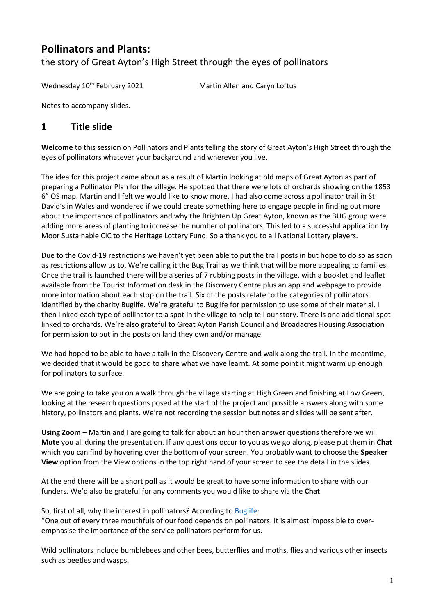# **Pollinators and Plants:**

the story of Great Ayton's High Street through the eyes of pollinators

Wednesday 10<sup>th</sup> February 2021 Martin Allen and Caryn Loftus

Notes to accompany slides.

#### **1 Title slide**

**Welcome** to this session on Pollinators and Plants telling the story of Great Ayton's High Street through the eyes of pollinators whatever your background and wherever you live.

The idea for this project came about as a result of Martin looking at old maps of Great Ayton as part of preparing a Pollinator Plan for the village. He spotted that there were lots of orchards showing on the 1853 6" OS map. Martin and I felt we would like to know more. I had also come across a pollinator trail in St David's in Wales and wondered if we could create something here to engage people in finding out more about the importance of pollinators and why the Brighten Up Great Ayton, known as the BUG group were adding more areas of planting to increase the number of pollinators. This led to a successful application by Moor Sustainable CIC to the Heritage Lottery Fund. So a thank you to all National Lottery players.

Due to the Covid-19 restrictions we haven't yet been able to put the trail posts in but hope to do so as soon as restrictions allow us to. We're calling it the Bug Trail as we think that will be more appealing to families. Once the trail is launched there will be a series of 7 rubbing posts in the village, with a booklet and leaflet available from the Tourist Information desk in the Discovery Centre plus an app and webpage to provide more information about each stop on the trail. Six of the posts relate to the categories of pollinators identified by the charity Buglife. We're grateful to Buglife for permission to use some of their material. I then linked each type of pollinator to a spot in the village to help tell our story. There is one additional spot linked to orchards. We're also grateful to Great Ayton Parish Council and Broadacres Housing Association for permission to put in the posts on land they own and/or manage.

We had hoped to be able to have a talk in the Discovery Centre and walk along the trail. In the meantime, we decided that it would be good to share what we have learnt. At some point it might warm up enough for pollinators to surface.

We are going to take you on a walk through the village starting at High Green and finishing at Low Green, looking at the research questions posed at the start of the project and possible answers along with some history, pollinators and plants. We're not recording the session but notes and slides will be sent after.

**Using Zoom** – Martin and I are going to talk for about an hour then answer questions therefore we will **Mute** you all during the presentation. If any questions occur to you as we go along, please put them in **Chat** which you can find by hovering over the bottom of your screen. You probably want to choose the **Speaker View** option from the View options in the top right hand of your screen to see the detail in the slides.

At the end there will be a short **poll** as it would be great to have some information to share with our funders. We'd also be grateful for any comments you would like to share via the **Chat**.

So, first of all, why the interest in pollinators? According to [Buglife:](http://www.buglife.org.uk/)

"One out of every three mouthfuls of our food depends on pollinators. It is almost impossible to overemphasise the importance of the service pollinators perform for us.

Wild pollinators include bumblebees and other bees, butterflies and moths, flies and various other insects such as beetles and wasps.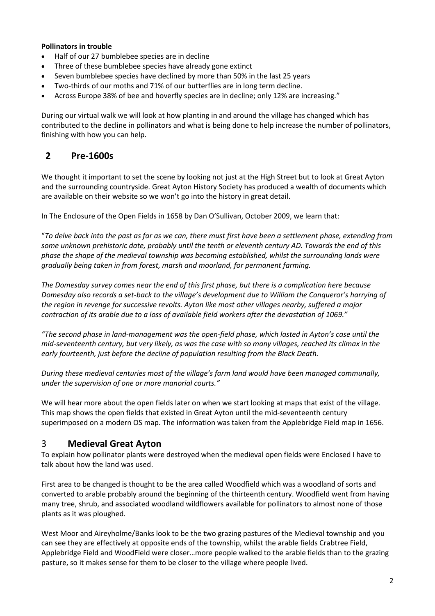#### **Pollinators in trouble**

- Half of our 27 bumblebee species are in decline
- Three of these bumblebee species have already gone extinct
- Seven bumblebee species have declined by more than 50% in the last 25 years
- Two-thirds of our moths and 71% of our butterflies are in long term decline.
- Across Europe 38% of bee and hoverfly species are in decline; only 12% are increasing."

During our virtual walk we will look at how planting in and around the village has changed which has contributed to the decline in pollinators and what is being done to help increase the number of pollinators, finishing with how you can help.

### **2 Pre-1600s**

We thought it important to set the scene by looking not just at the High Street but to look at Great Ayton and the surrounding countryside. Great Ayton History Society has produced a wealth of documents which are available on their website so we won't go into the history in great detail.

In The Enclosure of the Open Fields in 1658 by Dan O'Sullivan, October 2009, we learn that:

"*To delve back into the past as far as we can, there must first have been a settlement phase, extending from some unknown prehistoric date, probably until the tenth or eleventh century AD. Towards the end of this phase the shape of the medieval township was becoming established, whilst the surrounding lands were gradually being taken in from forest, marsh and moorland, for permanent farming.* 

*The Domesday survey comes near the end of this first phase, but there is a complication here because Domesday also records a set-back to the village's development due to William the Conqueror's harrying of the region in revenge for successive revolts. Ayton like most other villages nearby, suffered a major contraction of its arable due to a loss of available field workers after the devastation of 1069."*

*"The second phase in land-management was the open-field phase, which lasted in Ayton's case until the mid-seventeenth century, but very likely, as was the case with so many villages, reached its climax in the early fourteenth, just before the decline of population resulting from the Black Death.*

*During these medieval centuries most of the village's farm land would have been managed communally, under the supervision of one or more manorial courts."*

We will hear more about the open fields later on when we start looking at maps that exist of the village. This map shows the open fields that existed in Great Ayton until the mid-seventeenth century superimposed on a modern OS map. The information was taken from the Applebridge Field map in 1656.

#### 3 **Medieval Great Ayton**

To explain how pollinator plants were destroyed when the medieval open fields were Enclosed I have to talk about how the land was used.

First area to be changed is thought to be the area called Woodfield which was a woodland of sorts and converted to arable probably around the beginning of the thirteenth century. Woodfield went from having many tree, shrub, and associated woodland wildflowers available for pollinators to almost none of those plants as it was ploughed.

West Moor and Aireyholme/Banks look to be the two grazing pastures of the Medieval township and you can see they are effectively at opposite ends of the township, whilst the arable fields Crabtree Field, Applebridge Field and WoodField were closer…more people walked to the arable fields than to the grazing pasture, so it makes sense for them to be closer to the village where people lived.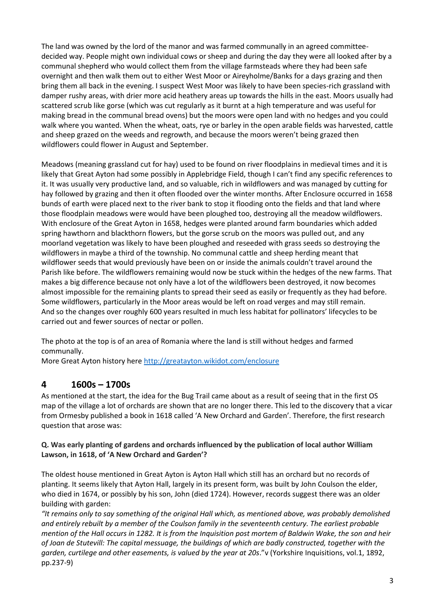The land was owned by the lord of the manor and was farmed communally in an agreed committeedecided way. People might own individual cows or sheep and during the day they were all looked after by a communal shepherd who would collect them from the village farmsteads where they had been safe overnight and then walk them out to either West Moor or Aireyholme/Banks for a days grazing and then bring them all back in the evening. I suspect West Moor was likely to have been species-rich grassland with damper rushy areas, with drier more acid heathery areas up towards the hills in the east. Moors usually had scattered scrub like gorse (which was cut regularly as it burnt at a high temperature and was useful for making bread in the communal bread ovens) but the moors were open land with no hedges and you could walk where you wanted. When the wheat, oats, rye or barley in the open arable fields was harvested, cattle and sheep grazed on the weeds and regrowth, and because the moors weren't being grazed then wildflowers could flower in August and September.

Meadows (meaning grassland cut for hay) used to be found on river floodplains in medieval times and it is likely that Great Ayton had some possibly in Applebridge Field, though I can't find any specific references to it. It was usually very productive land, and so valuable, rich in wildflowers and was managed by cutting for hay followed by grazing and then it often flooded over the winter months. After Enclosure occurred in 1658 bunds of earth were placed next to the river bank to stop it flooding onto the fields and that land where those floodplain meadows were would have been ploughed too, destroying all the meadow wildflowers. With enclosure of the Great Ayton in 1658, hedges were planted around farm boundaries which added spring hawthorn and blackthorn flowers, but the gorse scrub on the moors was pulled out, and any moorland vegetation was likely to have been ploughed and reseeded with grass seeds so destroying the wildflowers in maybe a third of the township. No communal cattle and sheep herding meant that wildflower seeds that would previously have been on or inside the animals couldn't travel around the Parish like before. The wildflowers remaining would now be stuck within the hedges of the new farms. That makes a big difference because not only have a lot of the wildflowers been destroyed, it now becomes almost impossible for the remaining plants to spread their seed as easily or frequently as they had before. Some wildflowers, particularly in the Moor areas would be left on road verges and may still remain. And so the changes over roughly 600 years resulted in much less habitat for pollinators' lifecycles to be carried out and fewer sources of nectar or pollen.

The photo at the top is of an area of Romania where the land is still without hedges and farmed communally.

More Great Ayton history here [http://greatayton.wikidot.com/enclosure](about:blank)

### **4 1600s – 1700s**

As mentioned at the start, the idea for the Bug Trail came about as a result of seeing that in the first OS map of the village a lot of orchards are shown that are no longer there. This led to the discovery that a vicar from Ormesby published a book in 1618 called 'A New Orchard and Garden'. Therefore, the first research question that arose was:

#### **Q. Was early planting of gardens and orchards influenced by the publication of local author William Lawson, in 1618, of 'A New Orchard and Garden'?**

The oldest house mentioned in Great Ayton is Ayton Hall which still has an orchard but no records of planting. It seems likely that Ayton Hall, largely in its present form, was built by John Coulson the elder, who died in 1674, or possibly by his son, John (died 1724). However, records suggest there was an older building with garden:

*"It remains only to say something of the original Hall which, as mentioned above, was probably demolished and entirely rebuilt by a member of the Coulson family in the seventeenth century. The earliest probable mention of the Hall occurs in 1282. It is from the Inquisition post mortem of Baldwin Wake, the son and heir of Joan de Stutevill: The capital messuage, the buildings of which are badly constructed, together with the garden, curtilege and other easements, is valued by the year at 20s*."v (Yorkshire Inquisitions, vol.1, 1892, pp.237-9)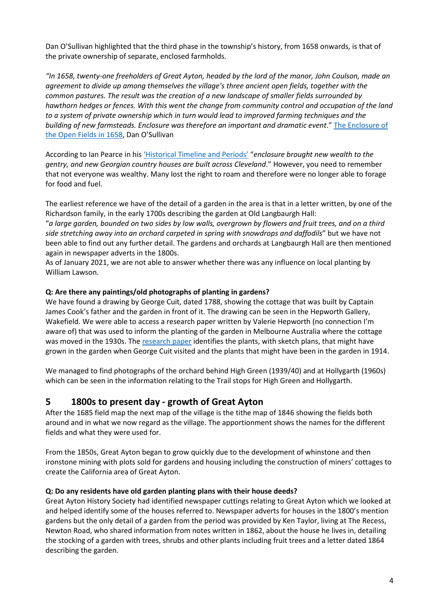Dan O'Sullivan highlighted that the third phase in the township's history, from 1658 onwards, is that of the private ownership of separate, enclosed farmholds.

*"In 1658, twenty-one freeholders of Great Ayton, headed by the lord of the manor, John Coulson, made an agreement to divide up among themselves the village's three ancient open fields, together with the common pastures. The result was the creation of a new landscape of smaller fields surrounded by hawthorn hedges or fences. With this went the change from community control and occupation of the land to a system of private ownership which in turn would lead to improved farming techniques and the building of new farmsteads. Enclosure was therefore an important and dramatic event*." [The Enclosure of](http://greatayton.wdfiles.com/local--files/agriculture/Enclosure-of-the-Open-Fields-in-1658.pdf)  [the Open Fields in 1658,](http://greatayton.wdfiles.com/local--files/agriculture/Enclosure-of-the-Open-Fields-in-1658.pdf) Dan O'Sullivan

According to Ian Pearce in his ['Historical Timeline and Periods'](http://greatayton.wdfiles.com/local--files/historical-summary/Historical-Summary.pdf) "*enclosure brought new wealth to the gentry, and new Georgian country houses are built across Cleveland*." However, you need to remember that not everyone was wealthy. Many lost the right to roam and therefore were no longer able to forage for food and fuel.

The earliest reference we have of the detail of a garden in the area is that in a letter written, by one of the Richardson family, in the early 1700s describing the garden at Old Langbaurgh Hall:

"*a large garden, bounded on two sides by low walls, overgrown by flowers and fruit trees, and on a third side stretching away into an orchard carpeted in spring with snowdrops and daffodils*" but we have not been able to find out any further detail. The gardens and orchards at Langbaurgh Hall are then mentioned again in newspaper adverts in the 1800s.

As of January 2021, we are not able to answer whether there was any influence on local planting by William Lawson.

#### **Q: Are there any paintings/old photographs of planting in gardens?**

We have found a drawing by George Cuit, dated 1788, showing the cottage that was built by Captain James Cook's father and the garden in front of it. The drawing can be seen in the Hepworth Gallery, Wakefield. We were able to access a research paper written by Valerie Hepworth (no connection I'm aware of) that was used to inform the planting of the garden in Melbourne Australia where the cottage was moved in the 1930s. Th[e research paper](http://www.moorsustainable.org.uk/wp-content/uploads/2021/01/Cooks-cottage-garden-research-by-Valerie-Hepworth.pdf) identifies the plants, with sketch plans, that might have grown in the garden when George Cuit visited and the plants that might have been in the garden in 1914.

We managed to find photographs of the orchard behind High Green (1939/40) and at Hollygarth (1960s) which can be seen in the information relating to the Trail stops for High Green and Hollygarth.

#### **5 1800s to present day - growth of Great Ayton**

After the 1685 field map the next map of the village is the tithe map of 1846 showing the fields both around and in what we now regard as the village. The apportionment shows the names for the different fields and what they were used for.

From the 1850s, Great Ayton began to grow quickly due to the development of whinstone and then ironstone mining with plots sold for gardens and housing including the construction of miners' cottages to create the California area of Great Ayton.

#### **Q: Do any residents have old garden planting plans with their house deeds?**

Great Ayton History Society had identified newspaper cuttings relating to Great Ayton which we looked at and helped identify some of the houses referred to. Newspaper adverts for houses in the 1800's mention gardens but the only detail of a garden from the period was provided by Ken Taylor, living at The Recess, Newton Road, who shared information from notes written in 1862, about the house he lives in, detailing the stocking of a garden with trees, shrubs and other plants including fruit trees and a letter dated 1864 describing the garden.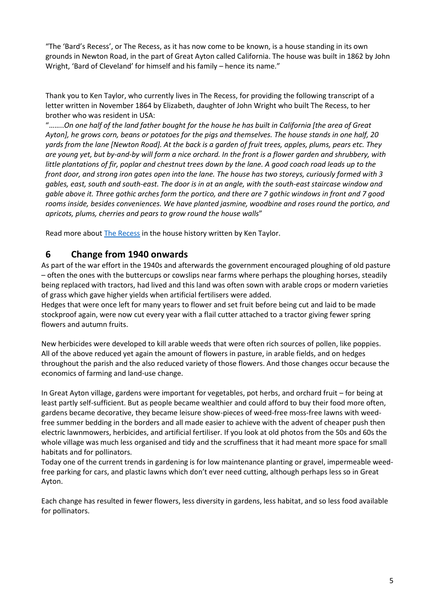"The 'Bard's Recess', or The Recess, as it has now come to be known, is a house standing in its own grounds in Newton Road, in the part of Great Ayton called California. The house was built in 1862 by John Wright, 'Bard of Cleveland' for himself and his family – hence its name."

Thank you to Ken Taylor, who currently lives in The Recess, for providing the following transcript of a letter written in November 1864 by Elizabeth, daughter of John Wright who built The Recess, to her brother who was resident in USA:

"……..*On one half of the land father bought for the house he has built in California [the area of Great Ayton], he grows corn, beans or potatoes for the pigs and themselves. The house stands in one half, 20 yards from the lane [Newton Road]. At the back is a garden of fruit trees, apples, plums, pears etc. They are young yet, but by-and-by will form a nice orchard. In the front is a flower garden and shrubbery, with little plantations of fir, poplar and chestnut trees down by the lane. A good coach road leads up to the front door, and strong iron gates open into the lane. The house has two storeys, curiously formed with 3 gables, east, south and south-east. The door is in at an angle, with the south-east staircase window and gable above it. Three gothic arches form the portico, and there are 7 gothic windows in front and 7 good rooms inside, besides conveniences. We have planted jasmine, woodbine and roses round the portico, and apricots, plums, cherries and pears to grow round the house walls*"

Read more abou[t The Recess](http://greatayton.wdfiles.com/local--files/the-recess-by-ken-taylor/The-Recess.pdf) in the house history written by Ken Taylor.

#### **6 Change from 1940 onwards**

As part of the war effort in the 1940s and afterwards the government encouraged ploughing of old pasture – often the ones with the buttercups or cowslips near farms where perhaps the ploughing horses, steadily being replaced with tractors, had lived and this land was often sown with arable crops or modern varieties of grass which gave higher yields when artificial fertilisers were added.

Hedges that were once left for many years to flower and set fruit before being cut and laid to be made stockproof again, were now cut every year with a flail cutter attached to a tractor giving fewer spring flowers and autumn fruits.

New herbicides were developed to kill arable weeds that were often rich sources of pollen, like poppies. All of the above reduced yet again the amount of flowers in pasture, in arable fields, and on hedges throughout the parish and the also reduced variety of those flowers. And those changes occur because the economics of farming and land-use change.

In Great Ayton village, gardens were important for vegetables, pot herbs, and orchard fruit – for being at least partly self-sufficient. But as people became wealthier and could afford to buy their food more often, gardens became decorative, they became leisure show-pieces of weed-free moss-free lawns with weedfree summer bedding in the borders and all made easier to achieve with the advent of cheaper push then electric lawnmowers, herbicides, and artificial fertiliser. If you look at old photos from the 50s and 60s the whole village was much less organised and tidy and the scruffiness that it had meant more space for small habitats and for pollinators.

Today one of the current trends in gardening is for low maintenance planting or gravel, impermeable weedfree parking for cars, and plastic lawns which don't ever need cutting, although perhaps less so in Great Ayton.

Each change has resulted in fewer flowers, less diversity in gardens, less habitat, and so less food available for pollinators.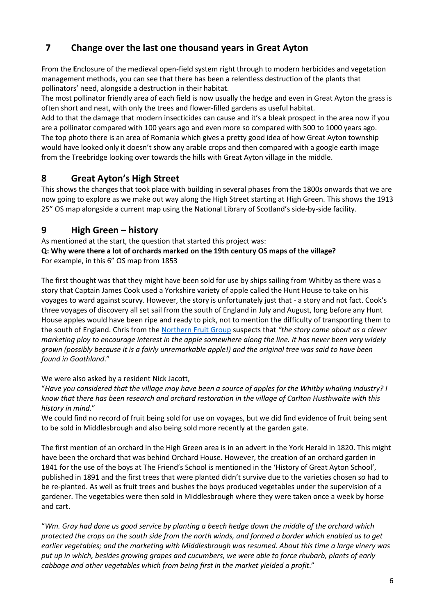# **7 Change over the last one thousand years in Great Ayton**

**F**rom the **E**nclosure of the medieval open-field system right through to modern herbicides and vegetation management methods, you can see that there has been a relentless destruction of the plants that pollinators' need, alongside a destruction in their habitat.

The most pollinator friendly area of each field is now usually the hedge and even in Great Ayton the grass is often short and neat, with only the trees and flower-filled gardens as useful habitat.

Add to that the damage that modern insecticides can cause and it's a bleak prospect in the area now if you are a pollinator compared with 100 years ago and even more so compared with 500 to 1000 years ago. The top photo there is an area of Romania which gives a pretty good idea of how Great Ayton township would have looked only it doesn't show any arable crops and then compared with a google earth image from the Treebridge looking over towards the hills with Great Ayton village in the middle.

### **8 Great Ayton's High Street**

This shows the changes that took place with building in several phases from the 1800s onwards that we are now going to explore as we make out way along the High Street starting at High Green. This shows the 1913 25" OS map alongside a current map using the National Library of Scotland's side-by-side facility.

### **9 High Green – history**

As mentioned at the start, the question that started this project was: **Q: Why were there a lot of orchards marked on the 19th century OS maps of the village?** For example, in this 6" OS map from 1853

The first thought was that they might have been sold for use by ships sailing from Whitby as there was a story that Captain James Cook used a Yorkshire variety of apple called the Hunt House to take on his voyages to ward against scurvy. However, the story is unfortunately just that - a story and not fact. Cook's three voyages of discovery all set sail from the south of England in July and August, long before any Hunt House apples would have been ripe and ready to pick, not to mention the difficulty of transporting them to the south of England. Chris from the [Northern Fruit Group](https://thenorthernfruitgroup.com/) suspects that *"the story came about as a clever marketing ploy to encourage interest in the apple somewhere along the line. It has never been very widely grown (possibly because it is a fairly unremarkable apple!) and the original tree was said to have been found in Goathland*."

We were also asked by a resident Nick Jacott,

"*Have you considered that the village may have been a source of apples for the Whitby whaling industry? I know that there has been research and orchard restoration in the village of Carlton Husthwaite with this history in mind.*"

We could find no record of fruit being sold for use on voyages, but we did find evidence of fruit being sent to be sold in Middlesbrough and also being sold more recently at the garden gate.

The first mention of an orchard in the High Green area is in an advert in the York Herald in 1820. This might have been the orchard that was behind Orchard House. However, the creation of an orchard garden in 1841 for the use of the boys at The Friend's School is mentioned in the 'History of Great Ayton School', published in 1891 and the first trees that were planted didn't survive due to the varieties chosen so had to be re-planted. As well as fruit trees and bushes the boys produced vegetables under the supervision of a gardener. The vegetables were then sold in Middlesbrough where they were taken once a week by horse and cart.

"*Wm. Gray had done us good service by planting a beech hedge down the middle of the orchard which protected the crops on the south side from the north winds, and formed a border which enabled us to get earlier vegetables; and the marketing with Middlesbrough was resumed. About this time a large vinery was put up in which, besides growing grapes and cucumbers, we were able to force rhubarb, plants of early cabbage and other vegetables which from being first in the market yielded a profit*."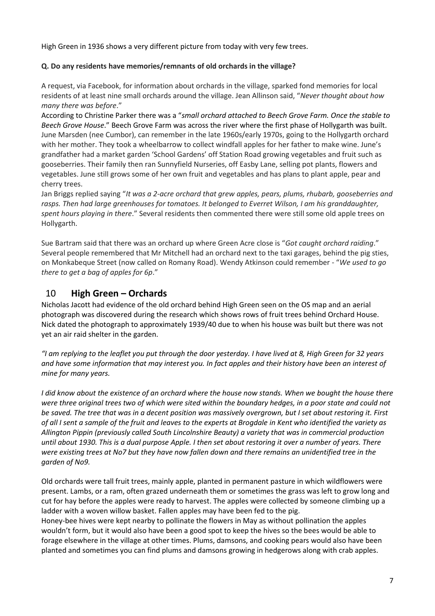High Green in 1936 shows a very different picture from today with very few trees.

#### **Q. Do any residents have memories/remnants of old orchards in the village?**

A request, via Facebook, for information about orchards in the village, sparked fond memories for local residents of at least nine small orchards around the village. Jean Allinson said, "*Never thought about how many there was before*."

According to Christine Parker there was a "*small orchard attached to Beech Grove Farm. Once the stable to Beech Grove House*." Beech Grove Farm was across the river where the first phase of Hollygarth was built. June Marsden (nee Cumbor), can remember in the late 1960s/early 1970s, going to the Hollygarth orchard with her mother. They took a wheelbarrow to collect windfall apples for her father to make wine. June's grandfather had a market garden 'School Gardens' off Station Road growing vegetables and fruit such as gooseberries. Their family then ran Sunnyfield Nurseries, off Easby Lane, selling pot plants, flowers and vegetables. June still grows some of her own fruit and vegetables and has plans to plant apple, pear and cherry trees.

Jan Briggs replied saying "*It was a 2-acre orchard that grew apples, pears, plums, rhubarb, gooseberries and rasps. Then had large greenhouses for tomatoes. It belonged to Everret Wilson, I am his granddaughter, spent hours playing in there*." Several residents then commented there were still some old apple trees on Hollygarth.

Sue Bartram said that there was an orchard up where Green Acre close is "*Got caught orchard raiding*." Several people remembered that Mr Mitchell had an orchard next to the taxi garages, behind the pig sties, on Monkabeque Street (now called on Romany Road). Wendy Atkinson could remember - "*We used to go there to get a bag of apples for 6p*."

### 10 **High Green – Orchards**

Nicholas Jacott had evidence of the old orchard behind High Green seen on the OS map and an aerial photograph was discovered during the research which shows rows of fruit trees behind Orchard House. Nick dated the photograph to approximately 1939/40 due to when his house was built but there was not yet an air raid shelter in the garden.

*"I am replying to the leaflet you put through the door yesterday. I have lived at 8, High Green for 32 years and have some information that may interest you. In fact apples and their history have been an interest of mine for many years.*

*I did know about the existence of an orchard where the house now stands. When we bought the house there were three original trees two of which were sited within the boundary hedges, in a poor state and could not be saved. The tree that was in a decent position was massively overgrown, but I set about restoring it. First of all I sent a sample of the fruit and leaves to the experts at Brogdale in Kent who identified the variety as Allington Pippin (previously called South Lincolnshire Beauty) a variety that was in commercial production until about 1930. This is a dual purpose Apple. I then set about restoring it over a number of years. There were existing trees at No7 but they have now fallen down and there remains an unidentified tree in the garden of No9.*

Old orchards were tall fruit trees, mainly apple, planted in permanent pasture in which wildflowers were present. Lambs, or a ram, often grazed underneath them or sometimes the grass was left to grow long and cut for hay before the apples were ready to harvest. The apples were collected by someone climbing up a ladder with a woven willow basket. Fallen apples may have been fed to the pig.

Honey-bee hives were kept nearby to pollinate the flowers in May as without pollination the apples wouldn't form, but it would also have been a good spot to keep the hives so the bees would be able to forage elsewhere in the village at other times. Plums, damsons, and cooking pears would also have been planted and sometimes you can find plums and damsons growing in hedgerows along with crab apples.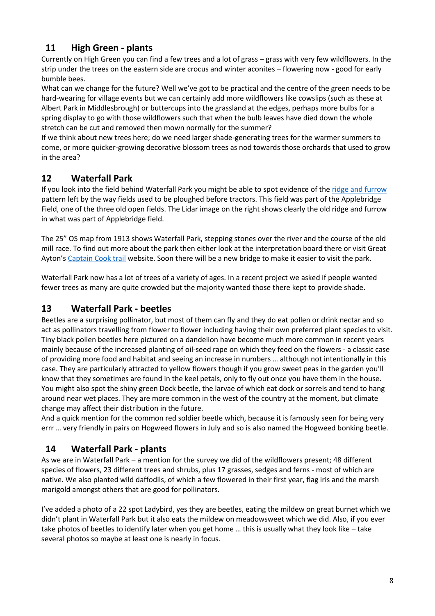# **11 High Green - plants**

Currently on High Green you can find a few trees and a lot of grass – grass with very few wildflowers. In the strip under the trees on the eastern side are crocus and winter aconites – flowering now - good for early bumble bees.

What can we change for the future? Well we've got to be practical and the centre of the green needs to be hard-wearing for village events but we can certainly add more wildflowers like cowslips (such as these at Albert Park in Middlesbrough) or buttercups into the grassland at the edges, perhaps more bulbs for a spring display to go with those wildflowers such that when the bulb leaves have died down the whole stretch can be cut and removed then mown normally for the summer?

If we think about new trees here; do we need larger shade-generating trees for the warmer summers to come, or more quicker-growing decorative blossom trees as nod towards those orchards that used to grow in the area?

# **12 Waterfall Park**

If you look into the field behind Waterfall Park you might be able to spot evidence of the [ridge and furrow](http://greatayton.wdfiles.com/local--files/agriculture/Rigg-and-furrow.pdf) pattern left by the way fields used to be ploughed before tractors. This field was part of the Applebridge Field, one of the three old open fields. The Lidar image on the right shows clearly the old ridge and furrow in what was part of Applebridge field.

The 25" OS map from 1913 shows Waterfall Park, stepping stones over the river and the course of the old mill race. To find out more about the park then either look at the interpretation board there or visit Great Ayton's [Captain Cook trail](http://www.captcook-greatayton.com/locations/waterfall-park) website. Soon there will be a new bridge to make it easier to visit the park.

Waterfall Park now has a lot of trees of a variety of ages. In a recent project we asked if people wanted fewer trees as many are quite crowded but the majority wanted those there kept to provide shade.

### **13 Waterfall Park - beetles**

Beetles are a surprising pollinator, but most of them can fly and they do eat pollen or drink nectar and so act as pollinators travelling from flower to flower including having their own preferred plant species to visit. Tiny black pollen beetles here pictured on a dandelion have become much more common in recent years mainly because of the increased planting of oil-seed rape on which they feed on the flowers - a classic case of providing more food and habitat and seeing an increase in numbers … although not intentionally in this case. They are particularly attracted to yellow flowers though if you grow sweet peas in the garden you'll know that they sometimes are found in the keel petals, only to fly out once you have them in the house. You might also spot the shiny green Dock beetle, the larvae of which eat dock or sorrels and tend to hang around near wet places. They are more common in the west of the country at the moment, but climate change may affect their distribution in the future.

And a quick mention for the common red soldier beetle which, because it is famously seen for being very errr … very friendly in pairs on Hogweed flowers in July and so is also named the Hogweed bonking beetle.

# **14 Waterfall Park - plants**

As we are in Waterfall Park – a mention for the survey we did of the wildflowers present; 48 different species of flowers, 23 different trees and shrubs, plus 17 grasses, sedges and ferns - most of which are native. We also planted wild daffodils, of which a few flowered in their first year, flag iris and the marsh marigold amongst others that are good for pollinators.

I've added a photo of a 22 spot Ladybird, yes they are beetles, eating the mildew on great burnet which we didn't plant in Waterfall Park but it also eats the mildew on meadowsweet which we did. Also, if you ever take photos of beetles to identify later when you get home … this is usually what they look like – take several photos so maybe at least one is nearly in focus.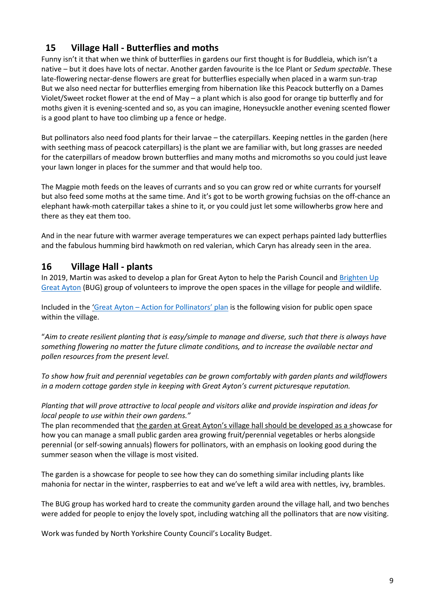### **15 Village Hall - Butterflies and moths**

Funny isn't it that when we think of butterflies in gardens our first thought is for Buddleia, which isn't a native – but it does have lots of nectar. Another garden favourite is the Ice Plant or *Sedum spectable*. These late-flowering nectar-dense flowers are great for butterflies especially when placed in a warm sun-trap But we also need nectar for butterflies emerging from hibernation like this Peacock butterfly on a Dames Violet/Sweet rocket flower at the end of May – a plant which is also good for orange tip butterfly and for moths given it is evening-scented and so, as you can imagine, Honeysuckle another evening scented flower is a good plant to have too climbing up a fence or hedge.

But pollinators also need food plants for their larvae – the caterpillars. Keeping nettles in the garden (here with seething mass of peacock caterpillars) is the plant we are familiar with, but long grasses are needed for the caterpillars of meadow brown butterflies and many moths and micromoths so you could just leave your lawn longer in places for the summer and that would help too.

The Magpie moth feeds on the leaves of currants and so you can grow red or white currants for yourself but also feed some moths at the same time. And it's got to be worth growing fuchsias on the off-chance an elephant hawk-moth caterpillar takes a shine to it, or you could just let some willowherbs grow here and there as they eat them too.

And in the near future with warmer average temperatures we can expect perhaps painted lady butterflies and the fabulous humming bird hawkmoth on red valerian, which Caryn has already seen in the area.

#### **16 Village Hall - plants**

In 2019, Martin was asked to develop a plan for Great Ayton to help the Parish Council an[d Brighten Up](https://www.visitgreatayton.com/community/brighten-up-great-ayton)  [Great Ayton](https://www.visitgreatayton.com/community/brighten-up-great-ayton) (BUG) group of volunteers to improve the open spaces in the village for people and wildlife.

Included in the 'Great Ayton - [Action for Pollinators' plan](http://www.moorsustainable.org.uk/wp-content/uploads/2019/06/Great-Ayton-Pollinator-Plan-updated-June-2019.pdf) is the following vision for public open space within the village.

"*Aim to create resilient planting that is easy/simple to manage and diverse, such that there is always have something flowering no matter the future climate conditions, and to increase the available nectar and pollen resources from the present level.* 

*To show how fruit and perennial vegetables can be grown comfortably with garden plants and wildflowers in a modern cottage garden style in keeping with Great Ayton's current picturesque reputation.* 

*Planting that will prove attractive to local people and visitors alike and provide inspiration and ideas for local people to use within their own gardens."*

The plan recommended that the garden at Great Ayton's village hall should be developed as a showcase for how you can manage a small public garden area growing fruit/perennial vegetables or herbs alongside perennial (or self-sowing annuals) flowers for pollinators, with an emphasis on looking good during the summer season when the village is most visited.

The garden is a showcase for people to see how they can do something similar including plants like mahonia for nectar in the winter, raspberries to eat and we've left a wild area with nettles, ivy, brambles.

The BUG group has worked hard to create the community garden around the village hall, and two benches were added for people to enjoy the lovely spot, including watching all the pollinators that are now visiting.

Work was funded by North Yorkshire County Council's Locality Budget.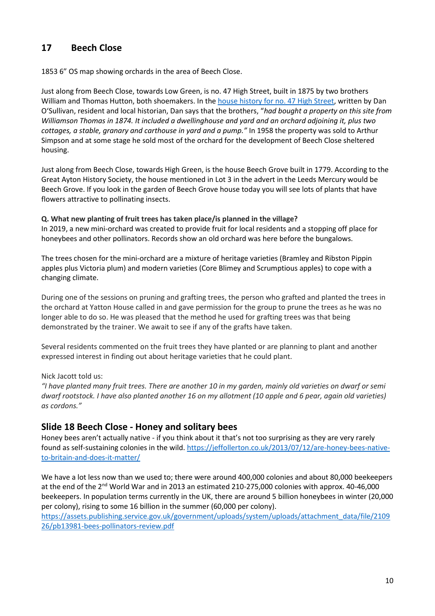### **17 Beech Close**

1853 6" OS map showing orchards in the area of Beech Close.

Just along from Beech Close, towards Low Green, is no. 47 High Street, built in 1875 by two brothers William and Thomas Hutton, both shoemakers. In the [house history for no. 47 High Street,](http://greatayton.wdfiles.com/local--files/individual-houses/47-High-Street.pdf) written by Dan O'Sullivan, resident and local historian, Dan says that the brothers, "*had bought a property on this site from Williamson Thomas in 1874. It included a dwellinghouse and yard and an orchard adjoining it, plus two cottages, a stable, granary and carthouse in yard and a pump."* In 1958 the property was sold to Arthur Simpson and at some stage he sold most of the orchard for the development of Beech Close sheltered housing.

Just along from Beech Close, towards High Green, is the house Beech Grove built in 1779. According to the Great Ayton History Society, the house mentioned in Lot 3 in the advert in the Leeds Mercury would be Beech Grove. If you look in the garden of Beech Grove house today you will see lots of plants that have flowers attractive to pollinating insects.

**Q. What new planting of fruit trees has taken place/is planned in the village?**

In 2019, a new mini-orchard was created to provide fruit for local residents and a stopping off place for honeybees and other pollinators. Records show an old orchard was here before the bungalows.

The trees chosen for the mini-orchard are a mixture of heritage varieties (Bramley and Ribston Pippin apples plus Victoria plum) and modern varieties (Core Blimey and Scrumptious apples) to cope with a changing climate.

During one of the sessions on pruning and grafting trees, the person who grafted and planted the trees in the orchard at Yatton House called in and gave permission for the group to prune the trees as he was no longer able to do so. He was pleased that the method he used for grafting trees was that being demonstrated by the trainer. We await to see if any of the grafts have taken.

Several residents commented on the fruit trees they have planted or are planning to plant and another expressed interest in finding out about heritage varieties that he could plant.

Nick Jacott told us:

*"I have planted many fruit trees. There are another 10 in my garden, mainly old varieties on dwarf or semi dwarf rootstock. I have also planted another 16 on my allotment (10 apple and 6 pear, again old varieties) as cordons."*

#### **Slide 18 Beech Close - Honey and solitary bees**

Honey bees aren't actually native - if you think about it that's not too surprising as they are very rarely found as self-sustaining colonies in the wild. [https://jeffollerton.co.uk/2013/07/12/are-honey-bees-native](about:blank)[to-britain-and-does-it-matter/](about:blank)

We have a lot less now than we used to; there were around 400,000 colonies and about 80,000 beekeepers at the end of the 2nd World War and in 2013 an estimated 210-275,000 colonies with approx. 40-46,000 beekeepers. In population terms currently in the UK, there are around 5 billion honeybees in winter (20,000 per colony), rising to some 16 billion in the summer (60,000 per colony).

[https://assets.publishing.service.gov.uk/government/uploads/system/uploads/attachment\\_data/file/2109](about:blank) [26/pb13981-bees-pollinators-review.pdf](about:blank)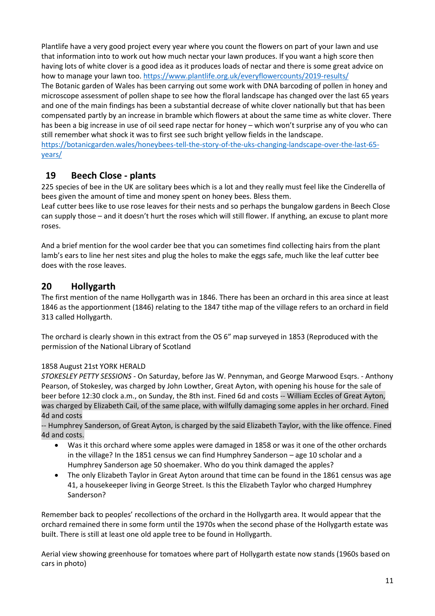Plantlife have a very good project every year where you count the flowers on part of your lawn and use that information into to work out how much nectar your lawn produces. If you want a high score then having lots of white clover is a good idea as it produces loads of nectar and there is some great advice on how to manage your lawn too. [https://www.plantlife.org.uk/everyflowercounts/2019-results/](about:blank) The Botanic garden of Wales has been carrying out some work with DNA barcoding of pollen in honey and microscope assessment of pollen shape to see how the floral landscape has changed over the last 65 years and one of the main findings has been a substantial decrease of white clover nationally but that has been compensated partly by an increase in bramble which flowers at about the same time as white clover. There has been a big increase in use of oil seed rape nectar for honey – which won't surprise any of you who can still remember what shock it was to first see such bright yellow fields in the landscape. [https://botanicgarden.wales/honeybees-tell-the-story-of-the-uks-changing-landscape-over-the-last-65](about:blank) [years/](about:blank) 

### **19 Beech Close - plants**

225 species of bee in the UK are solitary bees which is a lot and they really must feel like the Cinderella of bees given the amount of time and money spent on honey bees. Bless them.

Leaf cutter bees like to use rose leaves for their nests and so perhaps the bungalow gardens in Beech Close can supply those – and it doesn't hurt the roses which will still flower. If anything, an excuse to plant more roses.

And a brief mention for the wool carder bee that you can sometimes find collecting hairs from the plant lamb's ears to line her nest sites and plug the holes to make the eggs safe, much like the leaf cutter bee does with the rose leaves.

### **20 Hollygarth**

The first mention of the name Hollygarth was in 1846. There has been an orchard in this area since at least 1846 as the apportionment (1846) relating to the 1847 tithe map of the village refers to an orchard in field 313 called Hollygarth.

The orchard is clearly shown in this extract from the OS 6" map surveyed in 1853 (Reproduced with the permission of the National Library of Scotland

#### 1858 August 21st YORK HERALD

*STOKESLEY PETTY SESSIONS -* On Saturday, before Jas W. Pennyman, and George Marwood Esqrs. - Anthony Pearson, of Stokesley, was charged by John Lowther, Great Ayton, with opening his house for the sale of beer before 12:30 clock a.m., on Sunday, the 8th inst. Fined 6d and costs -- William Eccles of Great Ayton, was charged by Elizabeth Cail, of the same place, with wilfully damaging some apples in her orchard. Fined 4d and costs

-- Humphrey Sanderson, of Great Ayton, is charged by the said Elizabeth Taylor, with the like offence. Fined 4d and costs.

- Was it this orchard where some apples were damaged in 1858 or was it one of the other orchards in the village? In the 1851 census we can find Humphrey Sanderson – age 10 scholar and a Humphrey Sanderson age 50 shoemaker. Who do you think damaged the apples?
- The only Elizabeth Taylor in Great Ayton around that time can be found in the 1861 census was age 41, a housekeeper living in George Street. Is this the Elizabeth Taylor who charged Humphrey Sanderson?

Remember back to peoples' recollections of the orchard in the Hollygarth area. It would appear that the orchard remained there in some form until the 1970s when the second phase of the Hollygarth estate was built. There is still at least one old apple tree to be found in Hollygarth.

Aerial view showing greenhouse for tomatoes where part of Hollygarth estate now stands (1960s based on cars in photo)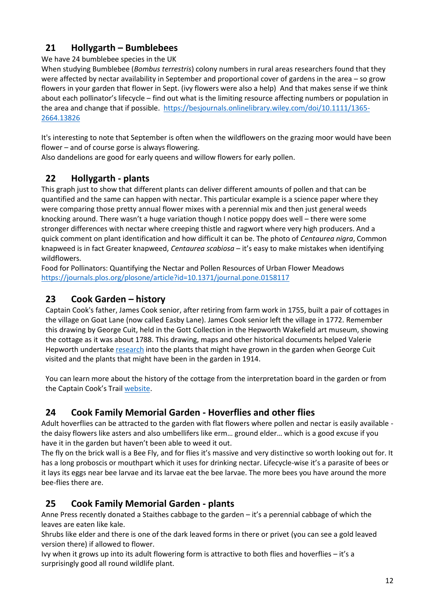# **21 Hollygarth – Bumblebees**

We have 24 bumblebee species in the UK

When studying Bumblebee (*Bombus terrestris*) colony numbers in rural areas researchers found that they were affected by nectar availability in September and proportional cover of gardens in the area – so grow flowers in your garden that flower in Sept. (ivy flowers were also a help) And that makes sense if we think about each pollinator's lifecycle – find out what is the limiting resource affecting numbers or population in the area and change that if possible. [https://besjournals.onlinelibrary.wiley.com/doi/10.1111/1365-](about:blank) [2664.13826](about:blank)

It's interesting to note that September is often when the wildflowers on the grazing moor would have been flower – and of course gorse is always flowering.

Also dandelions are good for early queens and willow flowers for early pollen.

# **22 Hollygarth - plants**

This graph just to show that different plants can deliver different amounts of pollen and that can be quantified and the same can happen with nectar. This particular example is a science paper where they were comparing those pretty annual flower mixes with a perennial mix and then just general weeds knocking around. There wasn't a huge variation though I notice poppy does well – there were some stronger differences with nectar where creeping thistle and ragwort where very high producers. And a quick comment on plant identification and how difficult it can be. The photo of *Centaurea nigra*, Common knapweed is in fact Greater knapweed, *Centaurea scabiosa* – it's easy to make mistakes when identifying wildflowers.

Food for Pollinators: Quantifying the Nectar and Pollen Resources of Urban Flower Meadows [https://journals.plos.org/plosone/article?id=10.1371/journal.pone.0158117](about:blank)

# **23 Cook Garden – history**

Captain Cook's father, James Cook senior, after retiring from farm work in 1755, built a pair of cottages in the village on Goat Lane (now called Easby Lane). James Cook senior left the village in 1772. Remember this drawing by George Cuit, held in the Gott Collection in the Hepworth Wakefield art museum, showing the cottage as it was about 1788. This drawing, maps and other historical documents helped Valerie Hepworth undertak[e research](http://www.moorsustainable.org.uk/wp-content/uploads/2021/01/Cooks-cottage-garden-research-by-Valerie-Hepworth.pdf) into the plants that might have grown in the garden when George Cuit visited and the plants that might have been in the garden in 1914.

You can learn more about the history of the cottage from the interpretation board in the garden or from the Captain Cook's Trail [website.](https://www.captcook-greatayton.com/locations/cooks-cottage)

# **24 Cook Family Memorial Garden - Hoverflies and other flies**

Adult hoverflies can be attracted to the garden with flat flowers where pollen and nectar is easily available the daisy flowers like asters and also umbellifers like erm… ground elder… which is a good excuse if you have it in the garden but haven't been able to weed it out.

The fly on the brick wall is a Bee Fly, and for flies it's massive and very distinctive so worth looking out for. It has a long proboscis or mouthpart which it uses for drinking nectar. Lifecycle-wise it's a parasite of bees or it lays its eggs near bee larvae and its larvae eat the bee larvae. The more bees you have around the more bee-flies there are.

# **25 Cook Family Memorial Garden - plants**

Anne Press recently donated a Staithes cabbage to the garden – it's a perennial cabbage of which the leaves are eaten like kale.

Shrubs like elder and there is one of the dark leaved forms in there or privet (you can see a gold leaved version there) if allowed to flower.

Ivy when it grows up into its adult flowering form is attractive to both flies and hoverflies – it's a surprisingly good all round wildlife plant.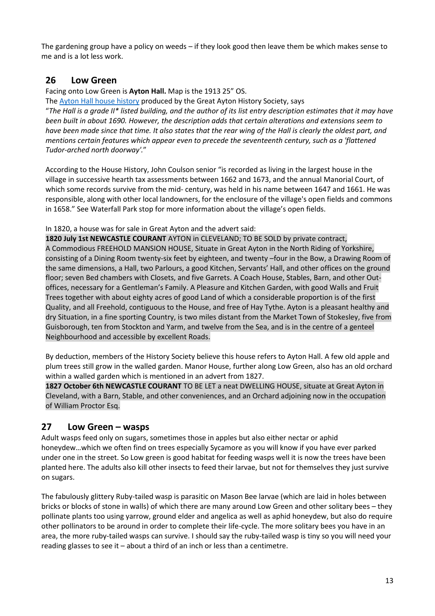The gardening group have a policy on weeds – if they look good then leave them be which makes sense to me and is a lot less work.

#### **26 Low Green**

Facing onto Low Green is **Ayton Hall.** Map is the 1913 25" OS.

The [Ayton Hall house history](http://greatayton.wdfiles.com/local--files/individual-houses/Ayton-Hall.pdf) produced by the Great Ayton History Society, says

"*The Hall is a grade II\* listed building, and the author of its list entry description estimates that it may have been built in about 1690. However, the description adds that certain alterations and extensions seem to have been made since that time. It also states that the rear wing of the Hall is clearly the oldest part, and mentions certain features which appear even to precede the seventeenth century, such as a 'flattened Tudor-arched north doorway'.*"

According to the House History, John Coulson senior "is recorded as living in the largest house in the village in successive hearth tax assessments between 1662 and 1673, and the annual Manorial Court, of which some records survive from the mid- century, was held in his name between 1647 and 1661. He was responsible, along with other local landowners, for the enclosure of the village's open fields and commons in 1658." See Waterfall Park stop for more information about the village's open fields.

In 1820, a house was for sale in Great Ayton and the advert said:

**1820 July 1st NEWCASTLE COURANT** AYTON in CLEVELAND; TO BE SOLD by private contract, A Commodious FREEHOLD MANSION HOUSE, Situate in Great Ayton in the North Riding of Yorkshire, consisting of a Dining Room twenty-six feet by eighteen, and twenty –four in the Bow, a Drawing Room of the same dimensions, a Hall, two Parlours, a good Kitchen, Servants' Hall, and other offices on the ground floor; seven Bed chambers with Closets, and five Garrets. A Coach House, Stables, Barn, and other Outoffices, necessary for a Gentleman's Family. A Pleasure and Kitchen Garden, with good Walls and Fruit Trees together with about eighty acres of good Land of which a considerable proportion is of the first Quality, and all Freehold, contiguous to the House, and free of Hay Tythe. Ayton is a pleasant healthy and dry Situation, in a fine sporting Country, is two miles distant from the Market Town of Stokesley, five from Guisborough, ten from Stockton and Yarm, and twelve from the Sea, and is in the centre of a genteel Neighbourhood and accessible by excellent Roads.

By deduction, members of the History Society believe this house refers to Ayton Hall. A few old apple and plum trees still grow in the walled garden. Manor House, further along Low Green, also has an old orchard within a walled garden which is mentioned in an advert from 1827.

**1827 October 6th NEWCASTLE COURANT** TO BE LET a neat DWELLING HOUSE, situate at Great Ayton in Cleveland, with a Barn, Stable, and other conveniences, and an Orchard adjoining now in the occupation of William Proctor Esq.

#### **27 Low Green – wasps**

Adult wasps feed only on sugars, sometimes those in apples but also either nectar or aphid honeydew…which we often find on trees especially Sycamore as you will know if you have ever parked under one in the street. So Low green is good habitat for feeding wasps well it is now the trees have been planted here. The adults also kill other insects to feed their larvae, but not for themselves they just survive on sugars.

The fabulously glittery Ruby-tailed wasp is parasitic on Mason Bee larvae (which are laid in holes between bricks or blocks of stone in walls) of which there are many around Low Green and other solitary bees – they pollinate plants too using yarrow, ground elder and angelica as well as aphid honeydew, but also do require other pollinators to be around in order to complete their life-cycle. The more solitary bees you have in an area, the more ruby-tailed wasps can survive. I should say the ruby-tailed wasp is tiny so you will need your reading glasses to see it – about a third of an inch or less than a centimetre.